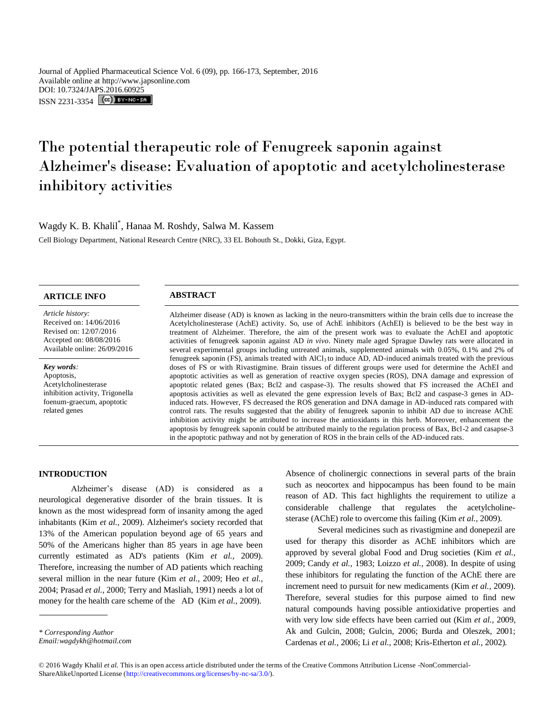Journal of Applied Pharmaceutical Science Vol. 6 (09), pp. 166-173, September, 2016 Available online at http://www.japsonline.com DOI: 10.7324/JAPS.2016.60925 ISSN 2231-3354 CC FY-NO-SA

# The potential therapeutic role of Fenugreek saponin against Alzheimer's disease: Evaluation of apoptotic and acetylcholinesterase inhibitory activities

Wagdy K. B. Khalil\* , Hanaa M. Roshdy, Salwa M. Kassem

Cell Biology Department, National Research Centre (NRC), 33 EL Bohouth St., Dokki, Giza, Egypt.

# **ARTICLE INFO ABSTRACT**

*Article history:* Received on: 14/06/2016 Revised on: 12/07/2016 Accepted on: 08/08/2016 Available online: 26/09/2016

#### *Key words:*

Apoptosis, Acetylcholinesterase inhibition activity, Trigonella foenum-graecum, apoptotic related genes

Alzheimer disease (AD) is known as lacking in the neuro-transmitters within the brain cells due to increase the Acetylcholinesterase (AchE) activity. So, use of AchE inhibitors (AchEI) is believed to be the best way in treatment of Alzheimer. Therefore, the aim of the present work was to evaluate the AchEI and apoptotic activities of fenugreek saponin against AD *in vivo*. Ninety male aged Sprague Dawley rats were allocated in several experimental groups including untreated animals, supplemented animals with 0.05%, 0.1% and 2% of fenugreek saponin (FS), animals treated with AlCl3 to induce AD, AD-induced animals treated with the previous doses of FS or with Rivastigmine. Brain tissues of different groups were used for determine the AchEI and apoptotic activities as well as generation of reactive oxygen species (ROS), DNA damage and expression of apoptotic related genes (Bax; Bcl2 and caspase-3). The results showed that FS increased the AChEI and apoptosis activities as well as elevated the gene expression levels of Bax; Bcl2 and caspase-3 genes in ADinduced rats. However, FS decreased the ROS generation and DNA damage in AD-induced rats compared with control rats. The results suggested that the ability of fenugreek saponin to inhibit AD due to increase AChE inhibition activity might be attributed to increase the antioxidants in this herb. Moreover, enhancement the apoptosis by fenugreek saponin could be attributed mainly to the regulation process of Bax, Bcl-2 and casapse-3 in the apoptotic pathway and not by generation of ROS in the brain cells of the AD-induced rats.

# **INTRODUCTION**

Alzheimer's disease (AD) is considered as a neurological degenerative disorder of the brain tissues. It is known as the most widespread form of insanity among the aged inhabitants (Kim *et al.,* 2009). Alzheimer's society recorded that 13% of the American population beyond age of 65 years and 50% of the Americans higher than 85 years in age have been currently estimated as AD's patients (Kim *et al.,* 2009). Therefore, increasing the number of AD patients which reaching several million in the near future (Kim *et al.,* 2009; Heo *et al.,*  2004; Prasad *et al.,* 2000; Terry and Masliah, 1991) needs a lot of money for the health care scheme of the AD (Kim *et al.,* 2009).

*Email:wagdykh@hotmail.com*

Absence of cholinergic connections in several parts of the brain such as neocortex and hippocampus has been found to be main reason of AD. This fact highlights the requirement to utilize a considerable challenge that regulates the acetylcholinesterase (AChE) role to overcome this failing (Kim *et al.,* 2009).

Several medicines such as rivastigmine and donepezil are used for therapy this disorder as AChE inhibitors which are approved by several global Food and Drug societies (Kim *et al.,*  2009; Candy *et al.,* 1983; Loizzo *et al.,* 2008). In despite of using these inhibitors for regulating the function of the AChE there are increment need to pursuit for new medicaments (Kim *et al.,* 2009). Therefore, several studies for this purpose aimed to find new natural compounds having possible antioxidative properties and with very low side effects have been carried out (Kim *et al.,* 2009, Ak and Gulcin, 2008; Gulcin, 2006; Burda and Oleszek, 2001; Cardenas *et al.,* 2006; Li *et al.,* 2008; Kris-Etherton *et al.,* 2002).

*<sup>\*</sup> Corresponding Author*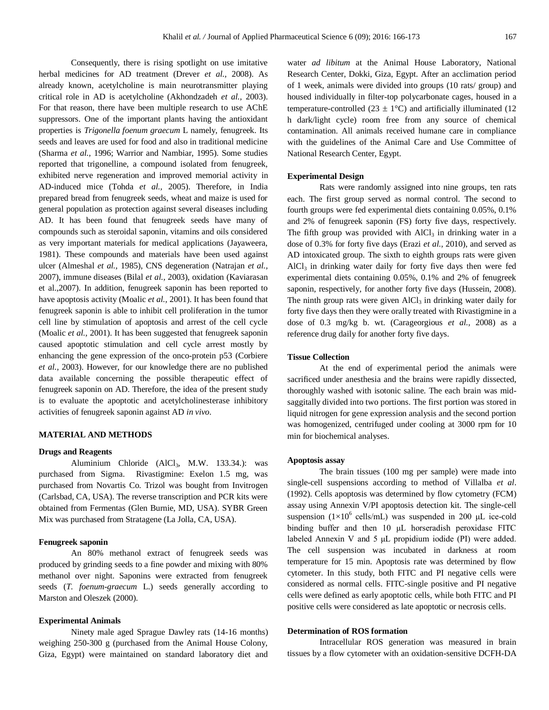Consequently, there is rising spotlight on use imitative herbal medicines for AD treatment (Drever *et al.,* 2008). As already known, acetylcholine is main neurotransmitter playing critical role in AD is acetylcholine (Akhondzadeh *et al.,* 2003). For that reason, there have been multiple research to use AChE suppressors. One of the important plants having the antioxidant properties is *Trigonella foenum graecum* L namely, fenugreek. Its seeds and leaves are used for food and also in traditional medicine (Sharma *et al.,* 1996; Warrior and Nambiar, 1995). Some studies reported that trigonelline, a compound isolated from fenugreek, exhibited nerve regeneration and improved memorial activity in AD-induced mice (Tohda *et al.,* 2005). Therefore, in India prepared bread from fenugreek seeds, wheat and maize is used for general population as protection against several diseases including AD. It has been found that fenugreek seeds have many of compounds such as steroidal saponin, vitamins and oils considered as very important materials for medical applications (Jayaweera, 1981). These compounds and materials have been used against ulcer (Almeshal *et al.,* 1985), CNS degeneration (Natrajan *et al.,*  2007), immune diseases (Bilal *et al.,* 2003), oxidation (Kaviarasan et al.,2007). In addition, fenugreek saponin has been reported to have apoptosis activity (Moalic *et al.,* 2001). It has been found that fenugreek saponin is able to inhibit cell proliferation in the tumor cell line by stimulation of apoptosis and arrest of the cell cycle (Moalic *et al.,* 2001). It has been suggested that fenugreek saponin caused apoptotic stimulation and cell cycle arrest mostly by enhancing the gene expression of the onco-protein p53 (Corbiere *et al.,* 2003). However, for our knowledge there are no published data available concerning the possible therapeutic effect of fenugreek saponin on AD. Therefore, the idea of the present study is to evaluate the apoptotic and acetylcholinesterase inhibitory activities of fenugreek saponin against AD *in vivo*.

# **MATERIAL AND METHODS**

# **Drugs and Reagents**

Aluminium Chloride (AlCl<sub>3</sub>, M.W. 133.34.): was purchased from Sigma. Rivastigmine: Exelon 1.5 mg, was purchased from Novartis Co. Trizol was bought from Invitrogen (Carlsbad, CA, USA). The reverse transcription and PCR kits were obtained from Fermentas (Glen Burnie, MD, USA). SYBR Green Mix was purchased from Stratagene (La Jolla, CA, USA).

# **Fenugreek saponin**

An 80% methanol extract of fenugreek seeds was produced by grinding seeds to a fine powder and mixing with 80% methanol over night. Saponins were extracted from fenugreek seeds (*T. foenum-graecum* L.) seeds generally according to Marston and Oleszek (2000).

# **Experimental Animals**

Ninety male aged Sprague Dawley rats (14-16 months) weighing 250-300 g (purchased from the Animal House Colony, Giza, Egypt) were maintained on standard laboratory diet and

water *ad libitum* at the Animal House Laboratory, National Research Center, Dokki, Giza, Egypt. After an acclimation period of 1 week, animals were divided into groups (10 rats/ group) and housed individually in filter-top polycarbonate cages, housed in a temperature-controlled (23  $\pm$  1°C) and artificially illuminated (12 h dark/light cycle) room free from any source of chemical contamination. All animals received humane care in compliance with the guidelines of the Animal Care and Use Committee of National Research Center, Egypt.

# **Experimental Design**

Rats were randomly assigned into nine groups, ten rats each. The first group served as normal control. The second to fourth groups were fed experimental diets containing 0.05%, 0.1% and 2% of fenugreek saponin (FS) forty five days, respectively. The fifth group was provided with  $AICI<sub>3</sub>$  in drinking water in a dose of 0.3% for forty five days (Erazi *et al.,* 2010), and served as AD intoxicated group. The sixth to eighth groups rats were given  $AICI<sub>3</sub>$  in drinking water daily for forty five days then were fed experimental diets containing 0.05%, 0.1% and 2% of fenugreek saponin, respectively, for another forty five days (Hussein, 2008). The ninth group rats were given  $AICI_3$  in drinking water daily for forty five days then they were orally treated with Rivastigmine in a dose of 0.3 mg/kg b. wt. (Carageorgious *et al.,* 2008) as a reference drug daily for another forty five days.

# **Tissue Collection**

At the end of experimental period the animals were sacrificed under anesthesia and the brains were rapidly dissected, thoroughly washed with isotonic saline. The each brain was midsaggitally divided into two portions. The first portion was stored in liquid nitrogen for gene expression analysis and the second portion was homogenized, centrifuged under cooling at 3000 rpm for 10 min for biochemical analyses.

## **Apoptosis assay**

The brain tissues (100 mg per sample) were made into single-cell suspensions according to method of Villalba *et al*. (1992). Cells apoptosis was determined by flow cytometry (FCM) assay using Annexin V/PI apoptosis detection kit. The single-cell suspension  $(1\times10^6 \text{ cells/mL})$  was suspended in 200 µL ice-cold binding buffer and then 10 μL horseradish peroxidase FITC labeled Annexin V and 5 μL propidium iodide (PI) were added. The cell suspension was incubated in darkness at room temperature for 15 min. Apoptosis rate was determined by flow cytometer. In this study, both FITC and PI negative cells were considered as normal cells. FITC-single positive and PI negative cells were defined as early apoptotic cells, while both FITC and PI positive cells were considered as late apoptotic or necrosis cells.

# **Determination of ROS formation**

Intracellular ROS generation was measured in brain tissues by a flow cytometer with an oxidation-sensitive DCFH-DA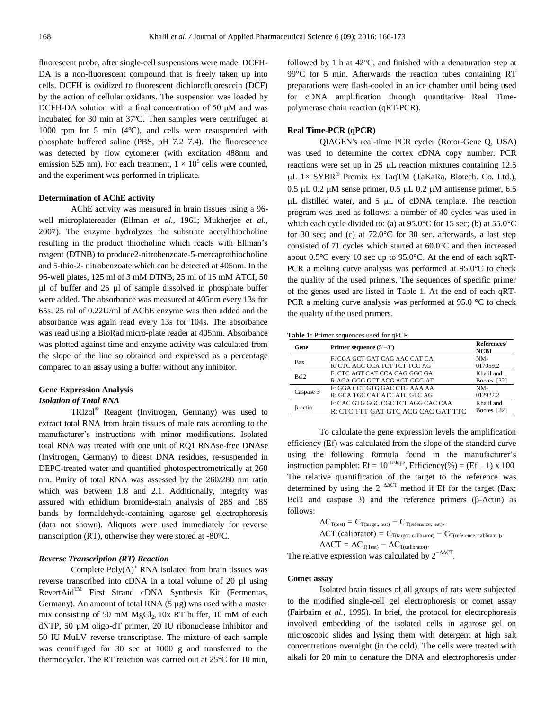fluorescent probe, after single-cell suspensions were made. DCFH-DA is a non-fluorescent compound that is freely taken up into cells. DCFH is oxidized to fluorescent dichlorofluorescein (DCF) by the action of cellular oxidants. The suspension was loaded by DCFH-DA solution with a final concentration of 50 μM and was incubated for 30 min at 37ºC. Then samples were centrifuged at 1000 rpm for 5 min (4ºC), and cells were resuspended with phosphate buffered saline (PBS, pH 7.2–7.4). The fluorescence was detected by flow cytometer (with excitation 488nm and emission 525 nm). For each treatment,  $1 \times 10^5$  cells were counted, and the experiment was performed in triplicate.

# **Determination of AChE activity**

AChE activity was measured in brain tissues using a 96 well microplatereader (Ellman *et al.,* 1961; Mukherjee *et al.,*  2007). The enzyme hydrolyzes the substrate acetylthiocholine resulting in the product thiocholine which reacts with Ellman's reagent (DTNB) to produce2-nitrobenzoate-5-mercaptothiocholine and 5-thio-2- nitrobenzoate which can be detected at 405nm. In the 96-well plates, 125 ml of 3 mM DTNB, 25 ml of 15 mM ATCI, 50 µl of buffer and 25 µl of sample dissolved in phosphate buffer were added. The absorbance was measured at 405nm every 13s for 65s. 25 ml of 0.22U/ml of AChE enzyme was then added and the absorbance was again read every 13s for 104s. The absorbance was read using a BioRad micro-plate reader at 405nm. Absorbance was plotted against time and enzyme activity was calculated from the slope of the line so obtained and expressed as a percentage compared to an assay using a buffer without any inhibitor.

# **Gene Expression Analysis** *Isolation of Total RNA*

TRIzol® Reagent (Invitrogen, Germany) was used to extract total RNA from brain tissues of male rats according to the manufacturer's instructions with minor modifications. Isolated total RNA was treated with one unit of RQ1 RNAse-free DNAse (Invitrogen, Germany) to digest DNA residues, re-suspended in DEPC-treated water and quantified photospectrometrically at 260 nm. Purity of total RNA was assessed by the 260/280 nm ratio which was between 1.8 and 2.1. Additionally, integrity was assured with ethidium bromide-stain analysis of 28S and 18S bands by formaldehyde-containing agarose gel electrophoresis (data not shown). Aliquots were used immediately for reverse transcription (RT), otherwise they were stored at -80°C.

# *Reverse Transcription (RT) Reaction*

Complete  $Poly(A)^+$  RNA isolated from brain tissues was reverse transcribed into cDNA in a total volume of 20 µl using  $RevertAid^{TM}$  First Strand cDNA Synthesis Kit (Fermentas, Germany). An amount of total RNA (5 µg) was used with a master mix consisting of 50 mM  $MgCl<sub>2</sub>$ , 10x RT buffer, 10 mM of each dNTP, 50 µM oligo-dT primer, 20 IU ribonuclease inhibitor and 50 IU MuLV reverse transcriptase. The mixture of each sample was centrifuged for 30 sec at 1000 g and transferred to the thermocycler. The RT reaction was carried out at 25°C for 10 min, followed by 1 h at 42°C, and finished with a denaturation step at 99°C for 5 min. Afterwards the reaction tubes containing RT preparations were flash-cooled in an ice chamber until being used for cDNA amplification through quantitative Real Timepolymerase chain reaction (qRT-PCR).

# **Real Time-PCR (qPCR)**

QIAGEN's real-time PCR cycler (Rotor-Gene Q, USA) was used to determine the cortex cDNA copy number. PCR reactions were set up in  $25 \mu L$  reaction mixtures containing 12.5 L 1× SYBR**®** Premix Ex TaqTM (TaKaRa, Biotech. Co. Ltd.),  $0.5 \mu L$  0.2  $\mu$ M sense primer, 0.5  $\mu$ L 0.2  $\mu$ M antisense primer, 6.5  $\mu$ L distilled water, and 5  $\mu$ L of cDNA template. The reaction program was used as follows: a number of 40 cycles was used in which each cycle divided to: (a) at 95.0°C for 15 sec; (b) at 55.0°C for 30 sec; and (c) at 72.0°C for 30 sec. afterwards, a last step consisted of 71 cycles which started at 60.0°C and then increased about 0.5°C every 10 sec up to 95.0°C. At the end of each sqRT-PCR a melting curve analysis was performed at 95.0°C to check the quality of the used primers. The sequences of specific primer of the genes used are listed in Table 1. At the end of each qRT-PCR a melting curve analysis was performed at 95.0 °C to check the quality of the used primers.

| Table 1: Primer sequences used for qPCR |  |
|-----------------------------------------|--|
|-----------------------------------------|--|

| Gene             | Primer sequence $(5'-3')$          | References/<br><b>NCBI</b> |
|------------------|------------------------------------|----------------------------|
| Bax              | F: CGA GCT GAT CAG AAC CAT CA      | NM-                        |
|                  | R: CTC AGC CCA TCT TCT TCC AG      | 017059.2                   |
| Bcl <sub>2</sub> | F: CTC AGT CAT CCA CAG GGC GA      | Khalil and                 |
|                  | R:AGA GGG GCT ACG AGT GGG AT       | Booles [32]                |
| Caspase 3        | F: GGA CCT GTG GAC CTG AAA AA      | NM-                        |
|                  | R: GCA TGC CAT ATC ATC GTC AG      | 012922.2                   |
| B-actin          | F: CAC GTG GGC CGC TCT AGG CAC CAA | Khalil and                 |
|                  | R: CTC TTT GAT GTC ACG CAC GAT TTC | Booles [32]                |

To calculate the gene expression levels the amplification efficiency (Ef) was calculated from the slope of the standard curve using the following formula found in the manufacturer's instruction pamphlet: Ef =  $10^{-1/\text{slope}}$ , Efficiency(%) = (Ef – 1) x 100 The relative quantification of the target to the reference was determined by using the  $2^{-\Delta\Delta CT}$  method if Ef for the target (Bax; Bcl2 and caspase 3) and the reference primers (β-Actin) as follows:

$$
\begin{aligned} &\Delta C_{T(test)}=C_{T(target,\,test)}-C_{T(reference,\,test)},\\ &\Delta CT\text{ (calibration)}=C_{T(target,\,calation)}-C_{T(reference,\,calation)},\\ &\Delta \Delta CT=\Delta C_{T(Test)}-\Delta C_{T(calibration)}.\end{aligned}
$$

The relative expression was calculated by 2<sup>−ΔΔCT</sup>.

#### **Comet assay**

Isolated brain tissues of all groups of rats were subjected to the modified single-cell gel electrophoresis or comet assay (Fairbairn *et al.,* 1995). In brief, the protocol for electrophoresis involved embedding of the isolated cells in agarose gel on microscopic slides and lysing them with detergent at high salt concentrations overnight (in the cold). The cells were treated with alkali for 20 min to denature the DNA and electrophoresis under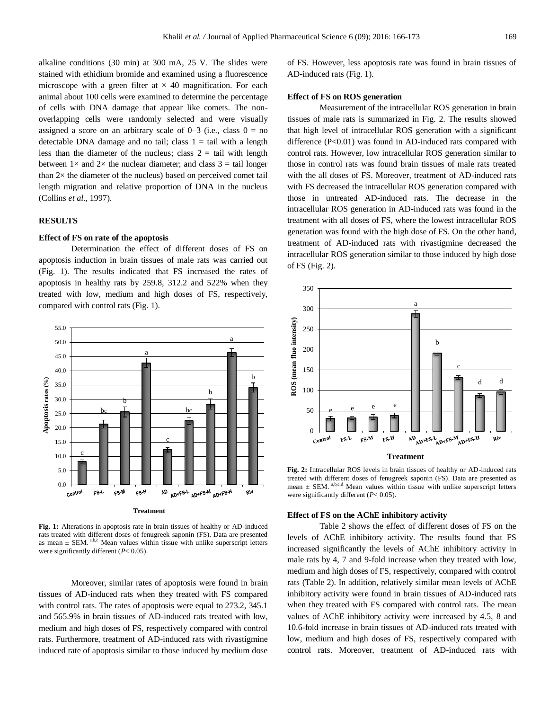alkaline conditions (30 min) at 300 mA, 25 V. The slides were stained with ethidium bromide and examined using a fluorescence microscope with a green filter at  $\times$  40 magnification. For each animal about 100 cells were examined to determine the percentage of cells with DNA damage that appear like comets. The nonoverlapping cells were randomly selected and were visually assigned a score on an arbitrary scale of  $0-3$  (i.e., class  $0 =$  no detectable DNA damage and no tail; class  $1 = \text{tail}$  with a length less than the diameter of the nucleus; class  $2 = \text{tail with length}$ between  $1 \times$  and  $2 \times$  the nuclear diameter; and class  $3 = \text{tail longer}$ than 2× the diameter of the nucleus) based on perceived comet tail length migration and relative proportion of DNA in the nucleus (Collins *et al.,* 1997).

# **RESULTS**

# **Effect of FS on rate of the apoptosis**

Determination the effect of different doses of FS on apoptosis induction in brain tissues of male rats was carried out (Fig. 1). The results indicated that FS increased the rates of apoptosis in healthy rats by 259.8, 312.2 and 522% when they treated with low, medium and high doses of FS, respectively, compared with control rats (Fig. 1).



**Fig. 1:** Alterations in apoptosis rate in brain tissues of healthy or AD-induced rats treated with different doses of fenugreek saponin (FS). Data are presented as mean  $\pm$  SEM.<sup>a,b,c</sup> Mean values within tissue with unlike superscript letters were significantly different (*P*< 0.05).

Moreover, similar rates of apoptosis were found in brain tissues of AD-induced rats when they treated with FS compared with control rats. The rates of apoptosis were equal to 273.2, 345.1 and 565.9% in brain tissues of AD-induced rats treated with low, medium and high doses of FS, respectively compared with control rats. Furthermore, treatment of AD-induced rats with rivastigmine induced rate of apoptosis similar to those induced by medium dose

of FS. However, less apoptosis rate was found in brain tissues of AD-induced rats (Fig. 1).

# **Effect of FS on ROS generation**

Measurement of the intracellular ROS generation in brain tissues of male rats is summarized in Fig. 2. The results showed that high level of intracellular ROS generation with a significant difference  $(P<0.01)$  was found in AD-induced rats compared with control rats. However, low intracellular ROS generation similar to those in control rats was found brain tissues of male rats treated with the all doses of FS. Moreover, treatment of AD-induced rats with FS decreased the intracellular ROS generation compared with those in untreated AD-induced rats. The decrease in the intracellular ROS generation in AD-induced rats was found in the treatment with all doses of FS, where the lowest intracellular ROS generation was found with the high dose of FS. On the other hand, treatment of AD-induced rats with rivastigmine decreased the intracellular ROS generation similar to those induced by high dose of FS (Fig. 2).



#### **Treatment**

**Fig. 2:** Intracellular ROS levels in brain tissues of healthy or AD-induced rats treated with different doses of fenugreek saponin (FS). Data are presented as mean  $\pm$  SEM. a,b,c,d Mean values within tissue with unlike superscript letters were significantly different (*P*< 0.05).

#### **Effect of FS on the AChE inhibitory activity**

Table 2 shows the effect of different doses of FS on the levels of AChE inhibitory activity. The results found that FS increased significantly the levels of AChE inhibitory activity in male rats by 4, 7 and 9-fold increase when they treated with low, medium and high doses of FS, respectively, compared with control rats (Table 2). In addition, relatively similar mean levels of AChE inhibitory activity were found in brain tissues of AD-induced rats when they treated with FS compared with control rats. The mean values of AChE inhibitory activity were increased by 4.5, 8 and 10.6-fold increase in brain tissues of AD-induced rats treated with low, medium and high doses of FS, respectively compared with control rats. Moreover, treatment of AD-induced rats with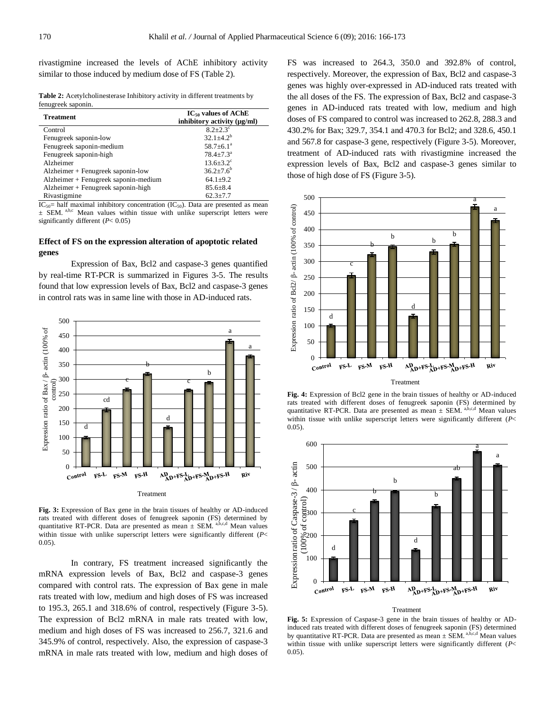rivastigmine increased the levels of AChE inhibitory activity similar to those induced by medium dose of FS (Table 2).

**Table 2:** Acetylcholinesterase Inhibitory activity in different treatments by fenugreek saponin.

| <b>Treatment</b>                     | $IC_{50}$ values of AChE<br>inhibitory activity $(\mu g/ml)$ |
|--------------------------------------|--------------------------------------------------------------|
| Control                              | $8.2 + 2.3^{\circ}$                                          |
| Fenugreek saponin-low                | $32.1 + 4.2^b$                                               |
| Fenugreek saponin-medium             | $58.7 \pm 6.1^a$                                             |
| Fenugreek saponin-high               | $78.4 \pm 7.3^{\text{a}}$                                    |
| Alzheimer                            | $13.6 + 3.2^{\circ}$                                         |
| Alzheimer + Fenugreek saponin-low    | $36.2{\pm}7.6^b$                                             |
| Alzheimer + Fenugreek saponin-medium | $64.1 \pm 9.2$                                               |
| Alzheimer + Fenugreek saponin-high   | $85.6 \pm 8.4$                                               |
| Rivastigmine                         | $62.3 \pm 7.7$                                               |

 $IC_{50}$  half maximal inhibitory concentration (IC<sub>50</sub>). Data are presented as mean  $\pm$  SEM. <sup>a,b,c</sup> Mean values within tissue with unlike superscript letters were significantly different (*P*< 0.05)

# **Effect of FS on the expression alteration of apoptotic related genes**

Expression of Bax, Bcl2 and caspase-3 genes quantified by real-time RT-PCR is summarized in Figures 3-5. The results found that low expression levels of Bax, Bcl2 and caspase-3 genes in control rats was in same line with those in AD-induced rats.



**Fig. 3:** Expression of Bax gene in the brain tissues of healthy or AD-induced rats treated with different doses of fenugreek saponin (FS) determined by quantitative RT-PCR. Data are presented as mean  $\pm$  SEM. a,b,c,d Mean values within tissue with unlike superscript letters were significantly different (*P*< 0.05).

In contrary, FS treatment increased significantly the mRNA expression levels of Bax, Bcl2 and caspase-3 genes compared with control rats. The expression of Bax gene in male rats treated with low, medium and high doses of FS was increased to 195.3, 265.1 and 318.6% of control, respectively (Figure 3-5). The expression of Bcl2 mRNA in male rats treated with low, medium and high doses of FS was increased to 256.7, 321.6 and 345.9% of control, respectively. Also, the expression of caspase-3 mRNA in male rats treated with low, medium and high doses of FS was increased to 264.3, 350.0 and 392.8% of control, respectively. Moreover, the expression of Bax, Bcl2 and caspase-3 genes was highly over-expressed in AD-induced rats treated with the all doses of the FS. The expression of Bax, Bcl2 and caspase-3 genes in AD-induced rats treated with low, medium and high doses of FS compared to control was increased to 262.8, 288.3 and 430.2% for Bax; 329.7, 354.1 and 470.3 for Bcl2; and 328.6, 450.1 and 567.8 for caspase-3 gene, respectively (Figure 3-5). Moreover, treatment of AD-induced rats with rivastigmine increased the expression levels of Bax, Bcl2 and caspase-3 genes similar to those of high dose of FS (Figure 3-5).



**Fig. 4:** Expression of Bcl2 gene in the brain tissues of healthy or AD-induced rats treated with different doses of fenugreek saponin (FS) determined by quantitative RT-PCR. Data are presented as mean  $\pm$  SEM. a,b,c,d Mean values within tissue with unlike superscript letters were significantly different (*P*< 0.05).



#### Treatment

**Fig. 5:** Expression of Caspase-3 gene in the brain tissues of healthy or ADinduced rats treated with different doses of fenugreek saponin (FS) determined by quantitative RT-PCR. Data are presented as mean  $\pm$  SEM. a,b,c,d Mean values within tissue with unlike superscript letters were significantly different (*P*< 0.05).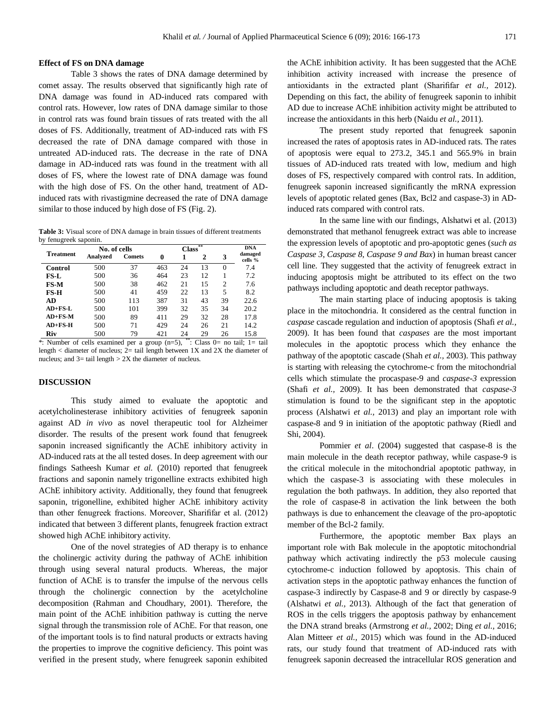# **Effect of FS on DNA damage**

Table 3 shows the rates of DNA damage determined by comet assay. The results observed that significantly high rate of DNA damage was found in AD-induced rats compared with control rats. However, low rates of DNA damage similar to those in control rats was found brain tissues of rats treated with the all doses of FS. Additionally, treatment of AD-induced rats with FS decreased the rate of DNA damage compared with those in untreated AD-induced rats. The decrease in the rate of DNA damage in AD-induced rats was found in the treatment with all doses of FS, where the lowest rate of DNA damage was found with the high dose of FS. On the other hand, treatment of ADinduced rats with rivastigmine decreased the rate of DNA damage similar to those induced by high dose of FS (Fig. 2).

**Table 3:** Visual score of DNA damage in brain tissues of different treatments by fenugreek saponin.

| <b>Treatment</b> |          | No. of cells  |     | **<br><b>Class</b> |    |                |                    |
|------------------|----------|---------------|-----|--------------------|----|----------------|--------------------|
|                  | Analyzed | <b>Comets</b> | 0   | 1                  | 2  | 3              | damaged<br>cells % |
| Control          | 500      | 37            | 463 | 24                 | 13 | $\Omega$       | 7.4                |
| FS-L             | 500      | 36            | 464 | 23                 | 12 |                | 7.2                |
| FS-M             | 500      | 38            | 462 | 21                 | 15 | $\overline{c}$ | 7.6                |
| $FS-H$           | 500      | 41            | 459 | 22                 | 13 | 5              | 8.2                |
| AD               | 500      | 113           | 387 | 31                 | 43 | 39             | 22.6               |
| $AD+FS-L$        | 500      | 101           | 399 | 32                 | 35 | 34             | 20.2               |
| $AD+FS-M$        | 500      | 89            | 411 | 29                 | 32 | 28             | 17.8               |
| $AD+FS-H$        | 500      | 71            | 429 | 24                 | 26 | 21             | 14.2               |
| Riv              | 500      | 79            | 421 | 24                 | 29 | 26             | 15.8               |

\*: Number of cells examined per a group (n=5), \*\*: Class 0= no tail; 1= tail length  $\lt$  diameter of nucleus;  $2$  = tail length between 1X and 2X the diameter of nucleus; and  $3=$  tail length  $> 2X$  the diameter of nucleus.

# **DISCUSSION**

This study aimed to evaluate the apoptotic and acetylcholinesterase inhibitory activities of fenugreek saponin against AD *in vivo* as novel therapeutic tool for Alzheimer disorder. The results of the present work found that fenugreek saponin increased significantly the AChE inhibitory activity in AD-induced rats at the all tested doses. In deep agreement with our findings Satheesh Kumar *et al.* (2010) reported that fenugreek fractions and saponin namely trigonelline extracts exhibited high AChE inhibitory activity. Additionally, they found that fenugreek saponin, trigonelline, exhibited higher AChE inhibitory activity than other fenugreek fractions. Moreover, Sharififar et al. (2012) indicated that between 3 different plants, fenugreek fraction extract showed high AChE inhibitory activity.

One of the novel strategies of AD therapy is to enhance the cholinergic activity during the pathway of AChE inhibition through using several natural products. Whereas, the major function of AChE is to transfer the impulse of the nervous cells through the cholinergic connection by the acetylcholine decomposition (Rahman and Choudhary, 2001). Therefore, the main point of the AChE inhibition pathway is cutting the nerve signal through the transmission role of AChE. For that reason, one of the important tools is to find natural products or extracts having the properties to improve the cognitive deficiency. This point was verified in the present study, where fenugreek saponin exhibited the AChE inhibition activity. It has been suggested that the AChE inhibition activity increased with increase the presence of antioxidants in the extracted plant (Sharififar *et al.,* 2012). Depending on this fact, the ability of fenugreek saponin to inhibit AD due to increase AChE inhibition activity might be attributed to increase the antioxidants in this herb (Naidu *et al.,* 2011).

The present study reported that fenugreek saponin increased the rates of apoptosis rates in AD-induced rats. The rates of apoptosis were equal to 273.2, 345.1 and 565.9% in brain tissues of AD-induced rats treated with low, medium and high doses of FS, respectively compared with control rats. In addition, fenugreek saponin increased significantly the mRNA expression levels of apoptotic related genes (Bax, Bcl2 and caspase-3) in ADinduced rats compared with control rats.

In the same line with our findings, Alshatwi et al. (2013) demonstrated that methanol fenugreek extract was able to increase the expression levels of apoptotic and pro-apoptotic genes (*such as Caspase 3*, *Caspase 8*, *Caspase 9 and Bax*) in human breast cancer cell line. They suggested that the activity of fenugreek extract in inducing apoptosis might be attributed to its effect on the two pathways including apoptotic and death receptor pathways.

The main starting place of inducing apoptosis is taking place in the mitochondria. It considered as the central function in *caspase* cascade regulation and induction of apoptosis (Shafi *et al.,*  2009). It has been found that *caspases* are the most important molecules in the apoptotic process which they enhance the pathway of the apoptotic cascade (Shah *et al.,* 2003). This pathway is starting with releasing the cytochrome-c from the mitochondrial cells which stimulate the procaspase-9 and *caspase-3* expression (Shafi *et al.,* 2009). It has been demonstrated that *caspase-3*  stimulation is found to be the significant step in the apoptotic process (Alshatwi *et al.,* 2013) and play an important role with caspase-8 and 9 in initiation of the apoptotic pathway (Riedl and Shi, 2004).

Pommier *et al*. (2004) suggested that caspase-8 is the main molecule in the death receptor pathway, while caspase-9 is the critical molecule in the mitochondrial apoptotic pathway, in which the caspase-3 is associating with these molecules in regulation the both pathways. In addition, they also reported that the role of caspase-8 in activation the link between the both pathways is due to enhancement the cleavage of the pro-apoptotic member of the Bcl-2 family*.*

Furthermore, the apoptotic member Bax plays an important role with Bak molecule in the apoptotic mitochondrial pathway which activating indirectly the p53 molecule causing cytochrome-c induction followed by apoptosis. This chain of activation steps in the apoptotic pathway enhances the function of caspase-3 indirectly by Caspase-8 and 9 or directly by caspase-9 (Alshatwi *et al.,* 2013). Although of the fact that generation of ROS in the cells triggers the apoptosis pathway by enhancement the DNA strand breaks (Armstrong *et al.,* 2002; Ding *et al.,* 2016; Alan Mitteer *et al.,* 2015) which was found in the AD-induced rats, our study found that treatment of AD-induced rats with fenugreek saponin decreased the intracellular ROS generation and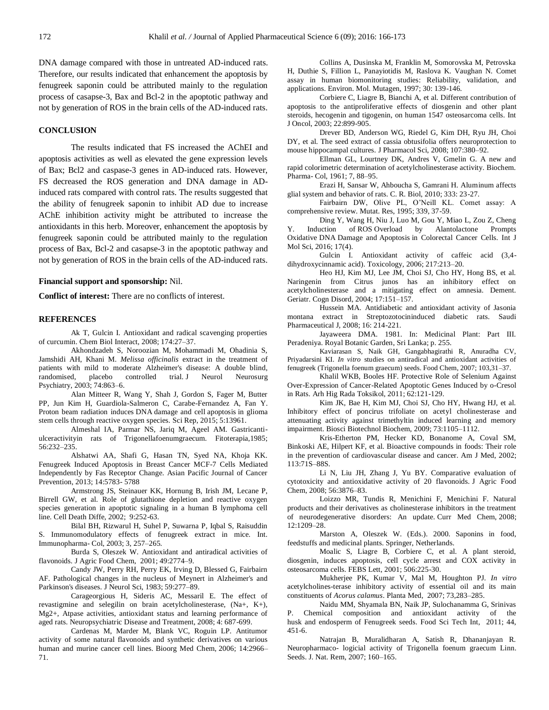DNA damage compared with those in untreated AD-induced rats. Therefore, our results indicated that enhancement the apoptosis by fenugreek saponin could be attributed mainly to the regulation process of casapse-3, Bax and Bcl-2 in the apoptotic pathway and not by generation of ROS in the brain cells of the AD-induced rats.

# **CONCLUSION**

The results indicated that FS increased the AChEI and apoptosis activities as well as elevated the gene expression levels of Bax; Bcl2 and caspase-3 genes in AD-induced rats. However, FS decreased the ROS generation and DNA damage in ADinduced rats compared with control rats. The results suggested that the ability of fenugreek saponin to inhibit AD due to increase AChE inhibition activity might be attributed to increase the antioxidants in this herb. Moreover, enhancement the apoptosis by fenugreek saponin could be attributed mainly to the regulation process of Bax, Bcl-2 and casapse-3 in the apoptotic pathway and not by generation of ROS in the brain cells of the AD-induced rats.

# **Financial support and sponsorship:** Nil.

**Conflict of interest:** There are no conflicts of interest.

# **REFERENCES**

Ak T, Gulcin I. Antioxidant and radical scavenging properties of curcumin. Chem Biol Interact, 2008; 174:27–37.

Akhondzadeh S, Noroozian M, Mohammadi M, Ohadinia S, Jamshidi AH, Khani M. *Melissa officinalis* extract in the treatment of patients with mild to moderate Alzheimer's disease: A double blind, randomised, placebo controlled trial. J Neurol Neurosurg Psychiatry, 2003; 74:863–6.

Alan Mitteer R, Wang Y, Shah J, Gordon S, Fager M, Butter PP, Jun Kim H, Guardiola-Salmeron C, Carabe-Fernandez A, Fan Y. [Proton beam radiation induces](http://www.ncbi.nlm.nih.gov/pubmed/26354413) DNA damage and cell apoptosis in glioma [stem cells through reactive oxygen species.](http://www.ncbi.nlm.nih.gov/pubmed/26354413) Sci Rep, 2015; 5:13961.

Almeshal IA, Parmar NS, Jariq M, Ageel AM. Gastricantiulceractivityin rats of Trigonellafoenumgraecum. Fitoterapia,1985; 56:232–235.

Alshatwi AA, Shafi G, Hasan TN, Syed NA, Khoja KK. Fenugreek Induced Apoptosis in Breast Cancer MCF-7 Cells Mediated Independently by Fas Receptor Change. Asian Pacific Journal of Cancer Prevention, 2013; 14:5783- 5788

Armstrong JS, Steinauer KK, Hornung B, Irish JM, Lecane P, Birrell GW, et al. Role of glutathione depletion and reactive oxygen species generation in apoptotic signaling in a human B lymphoma cell line. Cell Death Diffe, 2002; 9:252-63.

Bilal BH, Rizwarul H, Suhel P, Suwarna P, Iqbal S, Raisuddin S. Immunomodulatory effects of fenugreek extract in mice. Int. Immunopharma- Col, 2003; 3, 257–265.

Burda S, Oleszek W. Antioxidant and antiradical activities of flavonoids. J Agric Food Chem, 2001; 49:2774–9.

Candy JW, Perry RH, Perry EK, Irving D, Blessed G, Fairbairn AF. Pathological changes in the nucleus of Meynert in Alzheimer's and Parkinson's diseases. J Neurol Sci, 1983; 59:277–89.

Carageorgious H, Sideris AC, Messaril E. The effect of revastigmine and selegilin on brain acetylcholinesterase, (Na+, K+), Mg2+, Atpase activities, antioxidant status and learning performance of aged rats. Neuropsychiatric Disease and Treatment, 2008; 4: 687-699.

Cardenas M, Marder M, Blank VC, Roguin LP. Antitumor activity of some natural flavonoids and synthetic derivatives on various human and murine cancer cell lines. Bioorg Med Chem, 2006; 14:2966– 71.

Collins A, Dusinska M, Franklin M, Somorovska M, Petrovska H, Duthie S, Fillion L, Panayiotidis M, Raslova K. Vaughan N. Comet assay in human biomonitoring studies: Reliability, validation, and applications. Environ. Mol. Mutagen, 1997; 30: 139-146.

Corbiere C, Liagre B, Bianchi A, et al. Different contribution of apoptosis to the antiproliferative effects of diosgenin and other plant steroids, hecogenin and tigogenin, on human 1547 osteosarcoma cells. Int J Oncol, 2003; 22:899-905.

Drever BD, Anderson WG, Riedel G, Kim DH, Ryu JH, Choi DY, et al. The seed extract of cassia obtusifolia offers neuroprotection to mouse hippocampal cultures. J Pharmacol Sci, 2008; 107:380–92.

Ellman GL, Lourtney DK, Andres V, Gmelin G. A new and rapid colorimetric determination of acetylcholinesterase activity. Biochem. Pharma- Col, 1961; 7, 88–95.

Erazi H, Sansar W, Ahboucha S, Gamrani H. Aluminum affects glial system and behavior of rats. C. R. Biol, 2010; 333: 23-27.

Fairbairn DW, Olive PL, O'Neill KL. Comet assay: A comprehensive review. Mutat. Res, 1995; 339, 37-59.

Ding Y, Wang H, Niu J, Luo M, Gou Y, Miao L, Zou Z, Cheng Y. Induction of ROS [Overload by Alantolactone Prompts](http://www.ncbi.nlm.nih.gov/pubmed/27089328)  Oxidative DNA Damage and Apoptosis [in Colorectal Cancer Cells.](http://www.ncbi.nlm.nih.gov/pubmed/27089328) Int J Mol Sci, 2016; 17(4).

Gulcin I. Antioxidant activity of caffeic acid (3,4 dihydroxycinnamic acid). Toxicology, 2006; 217:213–20.

Heo HJ, Kim MJ, Lee JM, Choi SJ, Cho HY, Hong BS, et al. Naringenin from Citrus junos has an inhibitory effect on acetylcholinesterase and a mitigating effect on amnesia. Dement. Geriatr. Cogn Disord, 2004; 17:151–157.

Hussein MA. Antidiabetic and antioxidant activity of Jasonia montana extract in Streptozotocininduced diabetic rats. Saudi Pharmaceutical J, 2008; 16: 214-221.

Jayaweera DMA. 1981. In: Medicinal Plant: Part III. Peradeniya. Royal Botanic Garden, Sri Lanka; p. 255.

Kaviarasan S, Naik GH, Gangabhagirathi R, Anuradha CV, Priyadarsini KI. *In vitro* studies on antiradical and antioxidant activities of fenugreek (Trigonella foenum graecum) seeds. Food Chem, 2007; 103,31–37.

Khalil WKB, Booles HF. Protective Role of Selenium Against Over-Expression of Cancer-Related Apoptotic Genes Induced by o-Cresol in Rats. Arh Hig Rada Toksikol, 2011; 62:121-129.

Kim JK, Bae H, Kim MJ, Choi SJ, Cho HY, Hwang HJ, et al. Inhibitory effect of poncirus trifoliate on acetyl cholinesterase and attenuating activity against trimethyltin induced learning and memory impairment. Biosci Biotechnol Biochem, 2009; 73:1105–1112.

Kris-Etherton PM, Hecker KD, Bonanome A, Coval SM, Binkoski AE, Hilpert KF, et al. Bioactive compounds in foods: Their role in the prevention of cardiovascular disease and cancer. Am J Med, 2002; 113:71S–88S.

Li N, Liu JH, Zhang J, Yu BY. Comparative evaluation of cytotoxicity and antioxidative activity of 20 flavonoids. J Agric Food Chem, 2008; 56:3876–83.

Loizzo MR, Tundis R, Menichini F, Menichini F. Natural products and their derivatives as cholinesterase inhibitors in the treatment of neurodegenerative disorders: An update. Curr Med Chem, 2008; 12:1209–28.

Marston A, Oleszek W. (Eds.). 2000. Saponins in food, feedstuffs and medicinal plants. Springer, Netherlands.

Moalic S, Liagre B, Corbiere C, et al. A plant steroid, diosgenin, induces apoptosis, cell cycle arrest and COX activity in osteosarcoma cells. FEBS Lett, 2001; 506:225-30.

Mukherjee PK, Kumar V, Mal M, Houghton PJ. *In vitro* acetylcholines-terase inhibitory activity of essential oil and its main constituents of *Acorus calamus*. Planta Med, 2007; 73,283–285.

Naidu MM, Shyamala BN, Naik JP, Sulochanamma G, Srinivas P. Chemical composition and antioxidant activity of the husk and endosperm of Fenugreek seeds. Food Sci Tech Int, 2011; 44, 451-6.

Natrajan B, Muralidharan A, Satish R, Dhananjayan R. Neuropharmaco- logicial activity of Trigonella foenum graecum Linn. Seeds. J. Nat. Rem, 2007; 160–165.